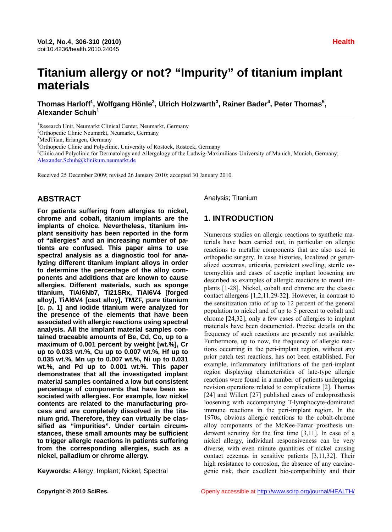# **Titanium allergy or not? "Impurity" of titanium implant materials**

 $\mathbf{I}$ homas Harloff<sup>1</sup>, Wolfgang Hönle<sup>2</sup>, Ulrich Holzwarth $^3$ , Rainer Bader $^4$ , Peter Thomas $^5$ , **Alexander Schuh<sup>1</sup>**

<sup>1</sup>Research Unit, Neumarkt Clinical Center, Neumarkt, Germany

<sup>2</sup>Orthopedic Clinic Neumarkt, Neumarkt, Germany

<sup>3</sup>MedTitan, Erlangen, Germany

<sup>4</sup>Orthopedic Clinic and Polyclinic, University of Rostock, Rostock, Germany <sup>5</sup>Clinic and Polyclinic for Dermateleau and Allergeleau of the Ludwig Maximum

<sup>5</sup>Clinic and Polyclinic for Dermatology and Allergology of the Ludwig-Maximilians-University of Munich, Munich, Germany; Alexander.Schuh@klinikum.neumarkt.de

Received 25 December 2009; revised 26 January 2010; accepted 30 January 2010.

#### **ABSTRACT**

**For patients suffering from allergies to nickel, chrome and cobalt, titanium implants are the implants of choice. Nevertheless, titanium implant sensitivity has been reported in the form of "allergies" and an increasing number of patients are confused. This paper aims to use spectral analysis as a diagnostic tool for analyzing different titanium implant alloys in order to determine the percentage of the alloy components and additions that are known to cause allergies. Different materials, such as sponge titanium, TiAl6Nb7, Ti21SRx, TiAl6V4 [forged alloy], TiAl6V4 [cast alloy], TMZF, pure titanium [c. p. 1] and iodide titanium were analyzed for the presence of the elements that have been associated with allergic reactions using spectral analysis. All the implant material samples contained traceable amounts of Be, Cd, Co, up to a maximum of 0.001 percent by weight [wt.%], Cr up to 0.033 wt.%, Cu up to 0.007 wt.%, Hf up to 0.035 wt.%, Mn up to 0.007 wt.%, Ni up to 0.031 wt.%, and Pd up to 0.001 wt.%. This paper demonstrates that all the investigated implant material samples contained a low but consistent percentage of components that have been associated with allergies. For example, low nickel contents are related to the manufacturing process and are completely dissolved in the titanium grid. Therefore, they can virtually be classified as "impurities". Under certain circumstances, these small amounts may be sufficient to trigger allergic reactions in patients suffering from the corresponding allergies, such as a nickel, palladium or chrome allergy.** 

**Keywords:** Allergy; Implant; Nickel; Spectral

Analysis; Titanium

# **1. INTRODUCTION**

Numerous studies on allergic reactions to synthetic materials have been carried out, in particular on allergic reactions to metallic components that are also used in orthopedic surgery. In case histories, localized or generalized eczemas, urticaria, persistent swelling, sterile osteomyelitis and cases of aseptic implant loosening are described as examples of allergic reactions to metal implants [1-28]. Nickel, cobalt and chrome are the classic contact allergens [1,2,11,29-32]. However, in contrast to the sensitization ratio of up to 12 percent of the general population to nickel and of up to 5 percent to cobalt and chrome [24,32], only a few cases of allergies to implant materials have been documented. Precise details on the frequency of such reactions are presently not available. Furthermore, up to now, the frequency of allergic reactions occurring in the peri-implant region, without any prior patch test reactions, has not been established. For example, inflammatory infiltrations of the peri-implant region displaying characteristics of late-type allergic reactions were found in a number of patients undergoing revision operations related to complications [2]. Thomas [24] and Willert [27] published cases of endoprosthesis loosening with accompanying T-lymphocyte-dominated immune reactions in the peri-implant region. In the 1970s, obvious allergic reactions to the cobalt-chrome alloy components of the McKee-Farrar prosthesis underwent scrutiny for the first time [3,11]. In case of a nickel allergy, individual responsiveness can be very diverse, with even minute quantities of nickel causing contact eczemas in sensitive patients [3,11,32]. Their high resistance to corrosion, the absence of any carcinogenic risk, their excellent bio-compatibility and their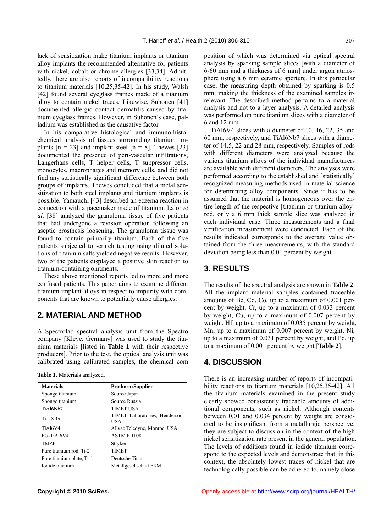lack of sensitization make titanium implants or titanium alloy implants the recommended alternative for patients with nickel, cobalt or chrome allergies [33,34]. Admittedly, there are also reports of incompatibility reactions to titanium materials [10,25,35-42]. In his study, Walsh [42] found several eyeglass frames made of a titanium alloy to contain nickel traces. Likewise, Suhonen [41] documented allergic contact dermatitis caused by titanium eyeglass frames. However, in Suhonen's case, palladium was established as the causative factor.

In his comparative histological and immuno-histochemical analysis of tissues surrounding titanium implants  $[n = 23]$  and implant steel  $[n = 8]$ , Thewes [23] documented the presence of peri-vascular infiltrations, Langerhans cells, T helper cells, T suppressor cells, monocytes, macrophages and memory cells, and did not find any statistically significant difference between both groups of implants. Thewes concluded that a metal sensitization to both steel implants and titanium implants is possible. Yamauchi [43] described an eczema reaction in connection with a pacemaker made of titanium. Lalor *et al*. [38] analyzed the granuloma tissue of five patients that had undergone a revision operation following an aseptic prosthesis loosening. The granuloma tissue was found to contain primarily titanium. Each of the five patients subjected to scratch testing using diluted solutions of titanium salts yielded negative results. However, two of the patients displayed a positive skin reaction to titanium-containing ointments.

These above mentioned reports led to more and more confused patients. This paper aims to examine different titanium implant alloys in respect to impurity with components that are known to potentially cause allergies.

#### **2. MATERIAL AND METHOD**

A Spectrolab spectral analysis unit from the Spectro company [Kleve, Germany] was used to study the titanium materials [listed in **Table 1** with their respective producers]. Prior to the test, the optical analysis unit was calibrated using calibrated samples, the chemical com

**Table 1.** Materials analyzed.

| <b>Materials</b>                 | <b>Producer/Supplier</b>              |
|----------------------------------|---------------------------------------|
| Sponge titanium                  | Source Japan                          |
| Sponge titanium                  | Source Russia                         |
| TiA16Nb7                         | <b>TIMET USA</b>                      |
| Ti <sub>21</sub> SR <sub>x</sub> | TIMET Laboratories, Henderson,<br>USA |
| <b>TiA16V4</b>                   | Allvac Teledyne, Monroe, USA          |
| FG-TiAl6V4                       | <b>ASTM F 1108</b>                    |
| <b>TMZF</b>                      | Stryker                               |
| Pure titanium rod, Ti-2          | <b>TIMET</b>                          |
| Pure titanium plate, Ti-1        | Deutsche Titan                        |
| Iodide titanium                  | Metallgesellschaft Ff/M               |

position of which was determined via optical spectral analysis by sparking sample slices [with a diameter of 6-60 mm and a thickness of 6 mm] under argon atmosphere using a 6 mm ceramic aperture. In this particular case, the measuring depth obtained by sparking is 0.5 mm, making the thickness of the examined samples irrelevant. The described method pertains to a material analysis and not to a layer analysis. A detailed analysis was performed on pure titanium slices with a diameter of 6 and 12 mm.

TiAl6V4 slices with a diameter of 10, 16, 22, 35 and 60 mm, respectively, and TiAl6Nb7 slices with a diameter of 14.5, 22 and 28 mm, respectively. Samples of rods with different diameters were analyzed because the various titanium alloys of the individual manufacturers are available with different diameters. The analyses were performed according to the established and [statistically] recognized measuring methods used in material science for determining alloy components. Since it has to be assumed that the material is homogeneous over the entire length of the respective [titanium or titanium alloy] rod, only a 6 mm thick sample slice was analyzed in each individual case. Three measurements and a final verification measurement were conducted. Each of the results indicated corresponds to the average value obtained from the three measurements, with the standard deviation being less than 0.01 percent by weight.

# **3. RESULTS**

The results of the spectral analysis are shown in **Table 2**. All the implant material samples contained traceable amounts of Be, Cd, Co, up to a maximum of 0.001 percent by weight, Cr, up to a maximum of 0.033 percent by weight, Cu, up to a maximum of 0.007 percent by weight, Hf, up to a maximum of 0.035 percent by weight, Mn, up to a maximum of 0.007 percent by weight, Ni, up to a maximum of 0.031 percent by weight, and Pd, up to a maximum of 0.001 percent by weight [**Table 2**].

## **4. DISCUSSION**

There is an increasing number of reports of incompatibility reactions to titanium materials [10,25,35-42]. All the titanium materials examined in the present study clearly showed consistently traceable amounts of additional components, such as nickel. Although contents between 0.01 and 0.034 percent by weight are considered to be insignificant from a metallurgic perspective, they are subject to discussion in the context of the high nickel sensitization rate present in the general population. The levels of additions found in iodide titanium correspond to the expected levels and demonstrate that, in this context, the absolutely lowest traces of nickel that are technologically possible can be adhered to, namely close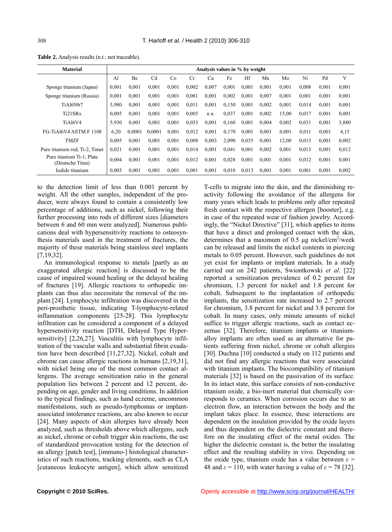| <b>Material</b>                               | Analysis values in % by weight |           |                |       |       |       |       |       |       |       |       |       |       |
|-----------------------------------------------|--------------------------------|-----------|----------------|-------|-------|-------|-------|-------|-------|-------|-------|-------|-------|
|                                               | Al                             | <b>Be</b> | C <sub>d</sub> | Co    | Cr    | Сu    | Fe    | Hf    | Mn    | Mo    | Ni    | Pd    | V     |
| Sponge titanium (Japan)                       | 0.001                          | 0,001     | 0.001          | 0.001 | 0.002 | 0,007 | 0,001 | 0.001 | 0,001 | 0,001 | 0,008 | 0,001 | 0,001 |
| Sponge titanium (Russia)                      | 0,001                          | 0,001     | 0.001          | 0.001 | 0.001 | 0,001 | 0,002 | 0,001 | 0.007 | 0,001 | 0.001 | 0.001 | 0,001 |
| TiA16Nb7                                      | 5.980                          | 0.001     | 0.001          | 0.001 | 0,011 | 0,001 | 0,150 | 0.001 | 0,002 | 0.001 | 0.014 | 0,001 | 0,001 |
| Ti21SRx                                       | 0.005                          | 0,001     | 0.001          | 0.001 | 0.005 | n n.  | 0,037 | 0,001 | 0,002 | 15,00 | 0,017 | 0,001 | 0,001 |
| TiAl6V4                                       | 5,930                          | 0,001     | 0,001          | 0.001 | 0,033 | 0,001 | 0,160 | 0,001 | 0,004 | 0,002 | 0.031 | 0,001 | 3,880 |
| FG-TiAl6V4 ASTM F 1108                        | 6,20                           | 0,0001    | 0.0001         | 0.001 | 0,012 | 0,001 | 0,170 | 0.001 | 0,001 | 0,001 | 0,011 | 0,001 | 4,15  |
| <b>TMZF</b>                                   | 0.005                          | 0,001     | 0.001          | 0,001 | 0.008 | 0.003 | 2,090 | 0.035 | 0,001 | 12,00 | 0,013 | 0,001 | 0,002 |
| Pure titanium rod, Ti-2, Timet                | 0.021                          | 0,001     | 0.001          | 0.001 | 0,014 | 0,001 | 0,041 | 0.001 | 0,002 | 0.001 | 0.013 | 0,001 | 0,012 |
| Pure titanium Ti-1, Plate<br>(Deutsche Titan) | 0.004                          | 0,001     | 0.001          | 0.001 | 0,012 | 0,001 | 0,028 | 0,001 | 0,001 | 0,001 | 0,012 | 0,001 | 0,001 |
| Iodide titanium                               | 0.003                          | 0,001     | 0.001          | 0.001 | 0.001 | 0,001 | 0,010 | 0.013 | 0.001 | 0.001 | 0.001 | 0.001 | 0,002 |

**Table 2.** Analysis results (n.t.: not traceable).

to the detection limit of less than 0.001 percent by weight. All the other samples, independent of the producer, were always found to contain a consistently low percentage of additions, such as nickel, following their further processing into rods of different sizes [diameters between 6 and 60 mm were analyzed]. Numerous publications deal with hypersensitivity reactions to osteosynthesis materials used in the treatment of fractures, the majority of these materials being stainless steel implants [7,19,32].

An immunological response to metals [partly as an exaggerated allergic reaction] is discussed to be the cause of impaired wound healing or the delayed healing of fractures [19]. Allergic reactions to orthopedic implants can thus also necessitate the removal of the implant [24]. Lymphocyte infiltration was discovered in the peri-prosthetic tissue, indicating T-lymphocyte-related inflammation components [25-28]. This lymphocyte infiltration can be considered a component of a delayed hypersensitivity reaction [DTH, Delayed Type Hypersensitivity] [2,26,27]. Vasculitis with lymphocyte infiltration of the vascular walls and substantial fibrin exudation have been described [11,27,32]. Nickel, cobalt and chrome can cause allergic reactions in humans [2,19,31], with nickel being one of the most common contact allergens. The average sensitization ratio in the general population lies between 2 percent and 12 percent, depending on age, gender and living conditions. In addition to the typical findings, such as hand eczeme, uncommon manifestations, such as pseudo-lymphomas or implantassociated intolerance reactions, are also known to occur [24]. Many aspects of skin allergies have already been analyzed, such as thresholds above which allergens, such as nickel, chrome or cobalt trigger skin reactions, the use of standardized provocation testing for the detection of an allergy [patch test], [immuno-] histological characteristics of such reactions, tracking elements, such as CLA [cutaneous leukocyte antigen], which allow sensitized T-cells to migrate into the skin, and the diminishing reactivity following the avoidance of the allergens for many years which leads to problems only after repeated fresh contact with the respective allergen [booster], e.g. in case of the repeated wear of fashion jewelry. Accordingly, the "Nickel Directive" [31], which applies to items that have a direct and prolonged contact with the skin, determines that a maximum of 0.5  $\mu$ g nickel/cm<sup>2</sup>/week can be released and limits the nickel contents in piercing metals to 0.05 percent. However, such guidelines do not yet exist for implants or implant materials. In a study carried out on 242 patients, Swiontkowski *et al*. [22] reported a sensitization prevalence of 0.2 percent for chromium, 1.3 percent for nickel and 1.8 percent for cobalt. Subsequent to the implantation of orthopedic implants, the sensitization rate increased to 2.7 percent for chromium, 3.8 percent for nickel and 3.8 percent for cobalt. In many cases, only minute amounts of nickel suffice to trigger allergic reactions, such as contact eczemas [32]. Therefore, titanium implants or titaniumalloy implants are often used as an alternative for patients suffering from nickel, chrome or cobalt allergies [30]. Duchna [10] conducted a study on 112 patients and did not find any allergic reactions that were associated with titanium implants. The biocompatibility of titanium materials [32] is based on the passivation of its surface. In its intact state, this surface consists of non-conductive titanium oxide, a bio-inert material that chemically corresponds to ceramics. When corrosion occurs due to an electron flow, an interaction between the body and the implant takes place. In essence, these interactions are dependent on the insulation provided by the oxide layers and thus dependent on the dielectric constant and therefore on the insulating effect of the metal oxides. The higher the dielectric constant is, the better the insulating effect and the resulting stability in vivo. Depending on the oxide type, titanium oxide has a value between  $\varepsilon$  = 48 and  $\varepsilon$  = 110, with water having a value of  $\varepsilon$  = 78 [32].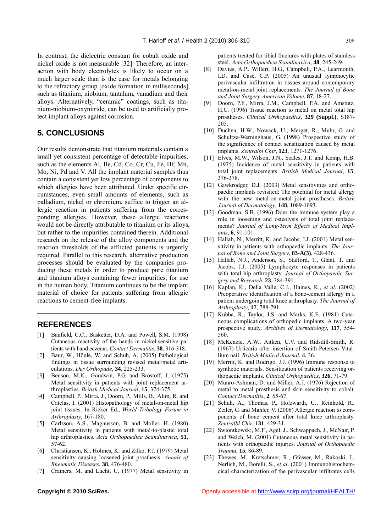In contrast, the dielectric constant for cobalt oxide and nickel oxide is not measurable [32]. Therefore, an interaction with body electrolytes is likely to occur on a much larger scale than is the case for metals belonging to the refractory group [oxide formation in milliseconds], such as titanium, niobium, tantalum, vanadium and their alloys. Alternatively, "ceramic" coatings, such as titanium-niobium-oxynitride, can be used to artificially protect implant alloys against corrosion.

# **5. CONCLUSIONS**

Our results demonstrate that titanium materials contain a small yet consistent percentage of detectable impurities, such as the elements Al, Be, Cd, Co, Cr, Cu, Fe, Hf, Mn, Mo, Ni, Pd and V. All the implant material samples thus contain a consistent yet low percentage of components to which allergies have been attributed. Under specific circumstances, even small amounts of elements, such as palladium, nickel or chromium, suffice to trigger an allergic reaction in patients suffering from the corresponding allergies. However, these allergic reactions would not be directly attributable to titanium or its alloys, but rather to the impurities contained therein. Additional research on the release of the alloy components and the reaction thresholds of the afflicted patients is urgently required. Parallel to this research, alternative production processes should be evaluated by the companies producing these metals in order to produce pure titanium and titanium alloys containing fewer impurities, for use in the human body. Titanium continues to be the implant material of choice for patients suffering from allergic reactions to cement-free implants.

#### **REFERENCES**

- [1] Banfield, C.C., Basketter, D.A. and Powell, S.M. (1998) Cutaneous reactivity of the hands in nickel-sensitive patients with hand eczema. *Contact Dermatitis*, **38**, 316-318.
- [2] Baur, W., Hönle, W. and Schuh, A. (2005) Pathological findings in tissue surrounding revised metal/metal articulations. *Der Orthopäde*, **34**, 225-233.
- [3] Benson, M.K., Goodwin, P.G. and Brostoff, J. (1975) Metal sensitivity in patients with joint replacement arthroplasties. *British Medical Journal*, **15**, 374-375.
- [4] Campbell, P., Mirra, J., Doorn, P., Mills, B., Alim, R. and Catelas, I. (2001) Histopathology of metal-on-metal hip joint tissues. In Rieker Ed., *World Tribology Forum in Arthroplasty*, 167-180.
- [5] Carlsson, A.S., Magnusson, B. and Moller, H. (1980) Metal sensitivity in patients with metal-to-plastic total hip arthroplasties. *Acta Orthopaedica Scandinavica*, **51**, 57-62.
- [6] Christiansen, K., Holmes, K. and Zilko, P.J. (1979) Metal sensitivity causing loosened joint prosthesis. *Annals of Rheumatic Diseases*, **38**, 476-480.
- [7] Cramers, M. and Lucht, U. (1977) Metal sensitivity in

patients treated for tibial fractures with plates of stainless steel. *Acta Orthopaedica Scandinavica*, **48**, 245-249.

- [8] Davies, A.P., Willert, H.G., Campbell, P.A., Learmonth, I.D. and Case, C.P. (2005) An unusual lymphocytic perivascular infiltration in tissues around contemporary metal-on-metal joint replacements. *The Journal of Bone and Joint Surgery-American Volome*, **87**, 18-27.
- [9] Doorn, P.F., Mirra, J.M., Campbell, P.A. and Amstutz, H.C. (1996) Tissue reaction to metal on metal total hip prostheses. *Clinical Orthopaedics*, **329 (Suppl.)**, S187- 205.
- [10] Duchna, H.W., Nowack, U., Merget, R., Muhr, G. and Schultze-Werninghaus, G. (1998) Prospective study of the significance of contact sensitization caused by metal implants. *Zentralbl Chir*, **123**, 1271-1276.
- [11] Elves, M.W., Wilson, J.N., Scales, J.T. and Kemp, H.B. (1975) Incidence of metal sensitivity in patients with total joint replacements. *British Medical Journal*, **15**, 376-378.
- [12] Gawkrodger, D.J. (2003) Metal sensitivities and orthopaedic implants revisited: The potential for metal allergy with the new metal-on-metal joint prostheses. *British Journal of Dermatology*, **148**, 1089-1093.
- [13] Goodman, S.B. (1996) Does the immune system play a role in loosening and osteolysis of total joint replacements? *Journal of Long-Term Effects of Medical Implants*, **6**, 91-101.
- [14] Hallab, N., Merritt, K. and Jacobs, J.J. (2001) Metal sensitivity in patients with orthopaedic implants. *The Journal of Bone and Joint Surgery*, **83-A(3)**, 428-436.
- [15] Hallab, N.J., Anderson, S., Stafford, T., Glant, T. and Jacobs, J.J. (2005) Lymphocyte responses in patients with total hip arthroplasty. *Journal of Orthopaedic Surgery and Research*, **23**, 384-391.
- [16] Kaplan, K., Della Valle, C.J., Haines, K., *et al.* (2002) Preoperative identification of a bone-cement allergy in a patient undergoing total knee arthroplasty. *The Journal of Arthroplasty*, **17**, 788-791.
- [17] Kubba, R., Taylor, J.S. and Marks, K.E. (1981) Cutaneous complications of orthopedic implants. A two-year prospective study. *Archives of Dermatology*, **117**, 554- 560.
- [18] McKenzie, A.W., Aitken, C.V. and Ridsdill-Smith, R. (1967) Urticaria after insertion of Smith-Petersen Vitallium nail. *British Medical Journal*, **4**, 36.
- [19] Merritt, K. and Rodrigo, J.J. (1996) Immune response to synthetic materials. Sensitization of patients receiving orthopaedic implants. *Clinical Orthopaedics*, **326**, 71-79.
- [20] Munro-Ashman, D. and Miller, A.J. (1976) Rejection of metal to metal prosthesis and skin sensitivity to cobalt. *Contact Dermatitis*, **2**, 65-67.
- [21] Schuh, A., Thomas, P., Holzwarth, U., Reinhold, R., Zeiler, G. and Mahler, V. (2006) Allergic reaction to components of bone cement after total knee arthroplasty. *Zentralbl Chir*, **131**, 429-31.
- [22] Swiontkowski, M.F., Agel, J., Schwappach, J., McNair, P. and Welch, M. (2001) Cutaneous metal sensitivity in patients with orthopaedic injuries. *Journal of Orthopaedic Trauma*, **15**, 86-89.
- [23] Thewes, M., Kretschmer, R., Gfesser, M., Rakoski, J., Nerlich, M., Borelli, S., *et al*. (2001) Immunohistochemcical characterization of the perivascular infiltrates cells

**Copyright © 2010 SciRes. Copyright Copyright Copyright Copyright Copyright Copyright Copyright Copyright Copyright Copyright Copyright Copyright Copyright Copyright Copyright Copyright Copyright Copyright Copyright Copy**